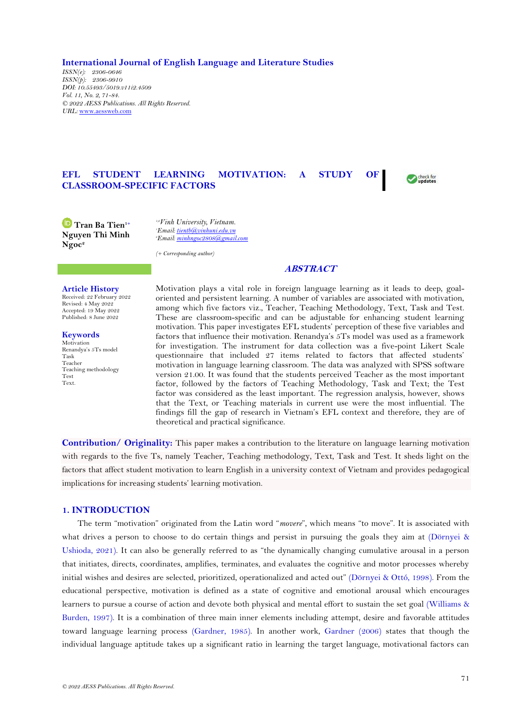**International Journal of English Language and Literature Studies**

*ISSN(e): 2306-0646 ISSN(p): 2306-9910 DOI: 10.55493/5019.v11i2.4509 Vol. 11, No. 2, 71-84. © 2022 AESS Publications. All Rights Reserved. URL:* [www.aessweb.com](http://www.aessweb.com/)

# **EFL STUDENT LEARNING MOTIVATION: A STUDY OF CLASSROOM-SPECIFIC FACTORS**

**Tran Ba Tien1+ Nguyen Thi Minh Ngoc<sup>2</sup>**

*1,2Vinh University, Vietnam. <sup>1</sup>Email[: tientb@vinhuni.edu.vn](mailto:tientb@vinhuni.edu.vn) <sup>2</sup>Email[: minhngoc2808@gmail.com](mailto:minhngoc2808@gmail.com)*

*(+ Corresponding author)*

## **ABSTRACT**

Check for

#### **Article History**

Received: 22 February 2022 Revised: 4 May 2022 Accepted: 19 May 2022 Published: 8 June 2022

**Keywords** Motivation Renandya's 5Ts model Task Teacher Teaching methodology Test Text.

Motivation plays a vital role in foreign language learning as it leads to deep, goaloriented and persistent learning. A number of variables are associated with motivation, among which five factors viz., Teacher, Teaching Methodology, Text, Task and Test. These are classroom-specific and can be adjustable for enhancing student learning motivation. This paper investigates EFL students' perception of these five variables and factors that influence their motivation. Renandya's 5Ts model was used as a framework for investigation. The instrument for data collection was a five-point Likert Scale questionnaire that included 27 items related to factors that affected students' motivation in language learning classroom. The data was analyzed with SPSS software version 21.00. It was found that the students perceived Teacher as the most important factor, followed by the factors of Teaching Methodology, Task and Text; the Test factor was considered as the least important. The regression analysis, however, shows that the Text, or Teaching materials in current use were the most influential. The findings fill the gap of research in Vietnam's EFL context and therefore, they are of theoretical and practical significance.

**Contribution/ Originality:** This paper makes a contribution to the literature on language learning motivation with regards to the five Ts, namely Teacher, Teaching methodology, Text, Task and Test. It sheds light on the factors that affect student motivation to learn English in a university context of Vietnam and provides pedagogical implications for increasing students' learning motivation.

## **1. INTRODUCTION**

The term "motivation" originated from the Latin word "*movere*", which means "to move". It is associated with what drives a person to choose to do certain things and persist in pursuing the goals they aim at [\(Dörnyei](#page-11-0) & [Ushioda, 2021\)](#page-11-0). It can also be generally referred to as "the dynamically changing cumulative arousal in a person that initiates, directs, coordinates, amplifies, terminates, and evaluates the cognitive and motor processes whereby initial wishes and desires are selected, prioritized, operationalized and acted out" [\(Dörnyei & Ottó, 1998\)](#page-11-1). From the educational perspective, motivation is defined as a state of cognitive and emotional arousal which encourages learners to pursue a course of action and devote both physical and mental effort to sustain the set goal [\(Williams &](#page-12-0)  [Burden, 1997\)](#page-12-0). It is a combination of three main inner elements including attempt, desire and favorable attitudes toward language learning process [\(Gardner, 1985\)](#page-11-2). In another work, [Gardner](#page-11-3) (2006) states that though the individual language aptitude takes up a significant ratio in learning the target language, motivational factors can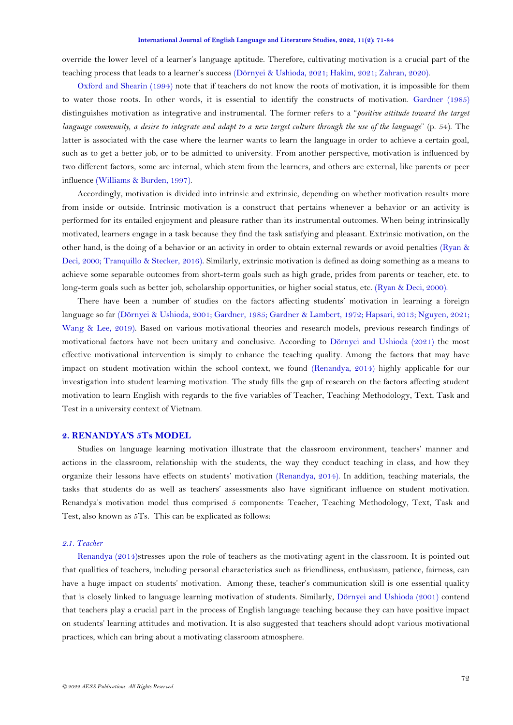override the lower level of a learner's language aptitude. Therefore, cultivating motivation is a crucial part of the teaching process that leads to a learner's success [\(Dörnyei & Ushioda, 2021;](#page-11-0) [Hakim, 2021;](#page-11-4) [Zahran, 2020\)](#page-12-1).

[Oxford and Shearin \(1994\)](#page-11-5) note that if teachers do not know the roots of motivation, it is impossible for them to water those roots. In other words, it is essential to identify the constructs of motivation. [Gardner \(1985\)](#page-11-2) distinguishes motivation as integrative and instrumental. The former refers to a "*positive attitude toward the target language community, a desire to integrate and adapt to a new target culture through the use of the language*" (p. 54). The latter is associated with the case where the learner wants to learn the language in order to achieve a certain goal, such as to get a better job, or to be admitted to university. From another perspective, motivation is influenced by two different factors, some are internal, which stem from the learners, and others are external, like parents or peer influence [\(Williams & Burden, 1997\)](#page-12-0).

Accordingly, motivation is divided into intrinsic and extrinsic, depending on whether motivation results more from inside or outside. Intrinsic motivation is a construct that pertains whenever a behavior or an activity is performed for its entailed enjoyment and pleasure rather than its instrumental outcomes. When being intrinsically motivated, learners engage in a task because they find the task satisfying and pleasant. Extrinsic motivation, on the other hand, is the doing of a behavior or an activity in order to obtain external rewards or avoid penalties [\(Ryan &](#page-11-6)  [Deci, 2000;](#page-11-6) [Tranquillo & Stecker, 2016\)](#page-11-7). Similarly, extrinsic motivation is defined as doing something as a means to achieve some separable outcomes from short-term goals such as high grade, prides from parents or teacher, etc. to long-term goals such as better job, scholarship opportunities, or higher social status, etc. [\(Ryan & Deci, 2000\)](#page-11-6).

There have been a number of studies on the factors affecting students' motivation in learning a foreign language so far [\(Dörnyei & Ushioda, 2001;](#page-11-8) [Gardner, 1985;](#page-11-2) [Gardner & Lambert, 1972;](#page-11-9) [Hapsari, 2013;](#page-11-10) [Nguyen, 2021;](#page-11-11) [Wang & Lee, 2019\)](#page-12-2). Based on various motivational theories and research models, previous research findings of motivational factors have not been unitary and conclusive. According to [Dörnyei and Ushioda \(2021\)](#page-11-0) the most effective motivational intervention is simply to enhance the teaching quality. Among the factors that may have impact on student motivation within the school context, we found [\(Renandya, 2014\)](#page-11-12) highly applicable for our investigation into student learning motivation. The study fills the gap of research on the factors affecting student motivation to learn English with regards to the five variables of Teacher, Teaching Methodology, Text, Task and Test in a university context of Vietnam.

## **2. RENANDYA'S 5Ts MODEL**

Studies on language learning motivation illustrate that the classroom environment, teachers' manner and actions in the classroom, relationship with the students, the way they conduct teaching in class, and how they organize their lessons have effects on students' motivation [\(Renandya, 2014\)](#page-11-12). In addition, teaching materials, the tasks that students do as well as teachers' assessments also have significant influence on student motivation. Renandya's motivation model thus comprised 5 components: Teacher, Teaching Methodology, Text, Task and Test, also known as 5Ts. This can be explicated as follows:

### *2.1. Teacher*

[Renandya](#page-11-5) (2014)stresses upon the role of teachers as the motivating agent in the classroom. It is pointed out that qualities of teachers, including personal characteristics such as friendliness, enthusiasm, patience, fairness, can have a huge impact on students' motivation. Among these, teacher's communication skill is one essential quality that is closely linked to language learning motivation of students. Similarly, [Dörnyei and Ushioda \(2001\)](#page-11-8) contend that teachers play a crucial part in the process of English language teaching because they can have positive impact on students' learning attitudes and motivation. It is also suggested that teachers should adopt various motivational practices, which can bring about a motivating classroom atmosphere.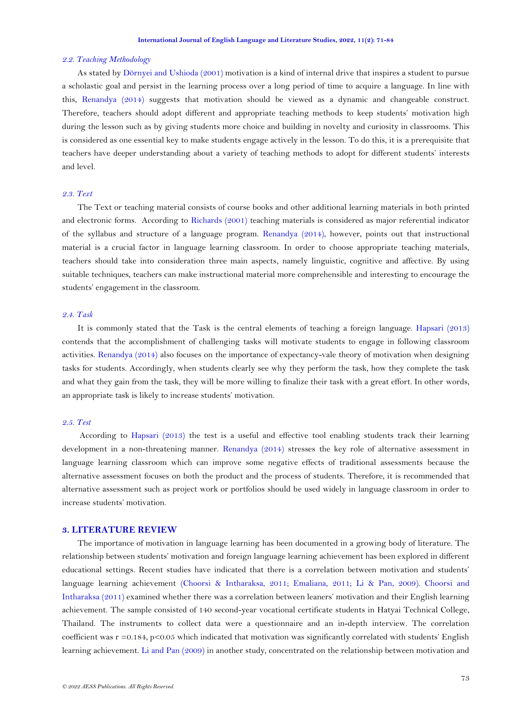### *2.2. Teaching Methodology*

As stated by [Dörnyei and Ushioda \(2001\)](#page-11-8) motivation is a kind of internal drive that inspires a student to pursue a scholastic goal and persist in the learning process over a long period of time to acquire a language. In line with this, [Renandya](#page-11-5) (2014) suggests that motivation should be viewed as a dynamic and changeable construct. Therefore, teachers should adopt different and appropriate teaching methods to keep students' motivation high during the lesson such as by giving students more choice and building in novelty and curiosity in classrooms. This is considered as one essential key to make students engage actively in the lesson. To do this, it is a prerequisite that teachers have deeper understanding about a variety of teaching methods to adopt for different students' interests and level.

# *2.3. Text*

The Text or teaching material consists of course books and other additional learning materials in both printed and electronic forms. According to [Richards \(2001\)](#page-11-13) teaching materials is considered as major referential indicator of the syllabus and structure of a language program. [Renandya](#page-11-5) (2014), however, points out that instructional material is a crucial factor in language learning classroom. In order to choose appropriate teaching materials, teachers should take into consideration three main aspects, namely linguistic, cognitive and affective. By using suitable techniques, teachers can make instructional material more comprehensible and interesting to encourage the students' engagement in the classroom.

# *2.4. Task*

It is commonly stated that the Task is the central elements of teaching a foreign language. [Hapsari \(2013\)](#page-11-10) contends that the accomplishment of challenging tasks will motivate students to engage in following classroom activities. [Renandya](#page-11-5) (2014) also focuses on the importance of expectancy-vale theory of motivation when designing tasks for students. Accordingly, when students clearly see why they perform the task, how they complete the task and what they gain from the task, they will be more willing to finalize their task with a great effort. In other words, an appropriate task is likely to increase students' motivation.

## *2.5. Test*

According to [Hapsari \(2013\)](#page-11-10) the test is a useful and effective tool enabling students track their learning development in a non-threatening manner. [Renandya](#page-11-5) (2014) stresses the key role of alternative assessment in language learning classroom which can improve some negative effects of traditional assessments because the alternative assessment focuses on both the product and the process of students. Therefore, it is recommended that alternative assessment such as project work or portfolios should be used widely in language classroom in order to increase students' motivation.

## **3. LITERATURE REVIEW**

The importance of motivation in language learning has been documented in a growing body of literature. The relationship between students' motivation and foreign language learning achievement has been explored in different educational settings. Recent studies have indicated that there is a correlation between motivation and students' language learning achievement [\(Choorsi & Intharaksa, 2011;](#page-11-14) [Emaliana, 2011;](#page-11-15) [Li & Pan, 2009\)](#page-11-16). [Choorsi and](#page-11-14)  [Intharaksa \(2011\)](#page-11-14) examined whether there was a correlation between leaners' motivation and their English learning achievement. The sample consisted of 140 second-year vocational certificate students in Hatyai Technical College, Thailand. The instruments to collect data were a questionnaire and an in-depth interview. The correlation coefficient was  $r = 0.184$ ,  $p < 0.05$  which indicated that motivation was significantly correlated with students' English learning achievement. [Li and Pan \(2009\)](#page-11-16) in another study, concentrated on the relationship between motivation and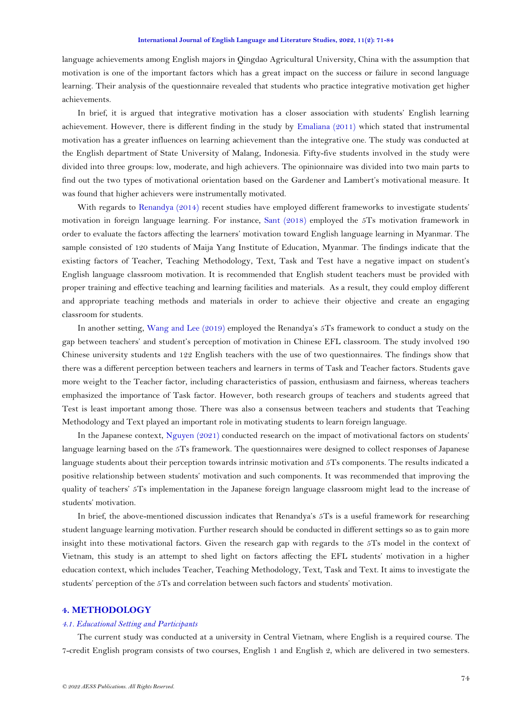language achievements among English majors in Qingdao Agricultural University, China with the assumption that motivation is one of the important factors which has a great impact on the success or failure in second language learning. Their analysis of the questionnaire revealed that students who practice integrative motivation get higher achievements.

In brief, it is argued that integrative motivation has a closer association with students' English learning achievement. However, there is different finding in the study by [Emaliana \(2011\)](#page-11-15) which stated that instrumental motivation has a greater influences on learning achievement than the integrative one. The study was conducted at the English department of State University of Malang, Indonesia. Fifty-five students involved in the study were divided into three groups: low, moderate, and high achievers. The opinionnaire was divided into two main parts to find out the two types of motivational orientation based on the Gardener and Lambert's motivational measure. It was found that higher achievers were instrumentally motivated.

With regards to [Renandya \(2014\)](#page-11-12) recent studies have employed different frameworks to investigate students' motivation in foreign language learning. For instance, [Sant \(2018\)](#page-11-17) employed the 5Ts motivation framework in order to evaluate the factors affecting the learners' motivation toward English language learning in Myanmar. The sample consisted of 120 students of Maija Yang Institute of Education, Myanmar. The findings indicate that the existing factors of Teacher, Teaching Methodology, Text, Task and Test have a negative impact on student's English language classroom motivation. It is recommended that English student teachers must be provided with proper training and effective teaching and learning facilities and materials. As a result, they could employ different and appropriate teaching methods and materials in order to achieve their objective and create an engaging classroom for students.

In another setting, [Wang and Lee \(2019\)](#page-12-2) employed the Renandya's 5Ts framework to conduct a study on the gap between teachers' and student's perception of motivation in Chinese EFL classroom. The study involved 190 Chinese university students and 122 English teachers with the use of two questionnaires. The findings show that there was a different perception between teachers and learners in terms of Task and Teacher factors. Students gave more weight to the Teacher factor, including characteristics of passion, enthusiasm and fairness, whereas teachers emphasized the importance of Task factor. However, both research groups of teachers and students agreed that Test is least important among those. There was also a consensus between teachers and students that Teaching Methodology and Text played an important role in motivating students to learn foreign language.

In the Japanese context, [Nguyen \(2021\)](#page-11-11) conducted research on the impact of motivational factors on students' language learning based on the 5Ts framework. The questionnaires were designed to collect responses of Japanese language students about their perception towards intrinsic motivation and 5Ts components. The results indicated a positive relationship between students' motivation and such components. It was recommended that improving the quality of teachers' 5Ts implementation in the Japanese foreign language classroom might lead to the increase of students' motivation.

In brief, the above-mentioned discussion indicates that Renandya's 5Ts is a useful framework for researching student language learning motivation. Further research should be conducted in different settings so as to gain more insight into these motivational factors. Given the research gap with regards to the 5Ts model in the context of Vietnam, this study is an attempt to shed light on factors affecting the EFL students' motivation in a higher education context, which includes Teacher, Teaching Methodology, Text, Task and Text. It aims to investigate the students' perception of the 5Ts and correlation between such factors and students' motivation.

# **4. METHODOLOGY**

#### *4.1. Educational Setting and Participants*

The current study was conducted at a university in Central Vietnam, where English is a required course. The 7-credit English program consists of two courses, English 1 and English 2, which are delivered in two semesters.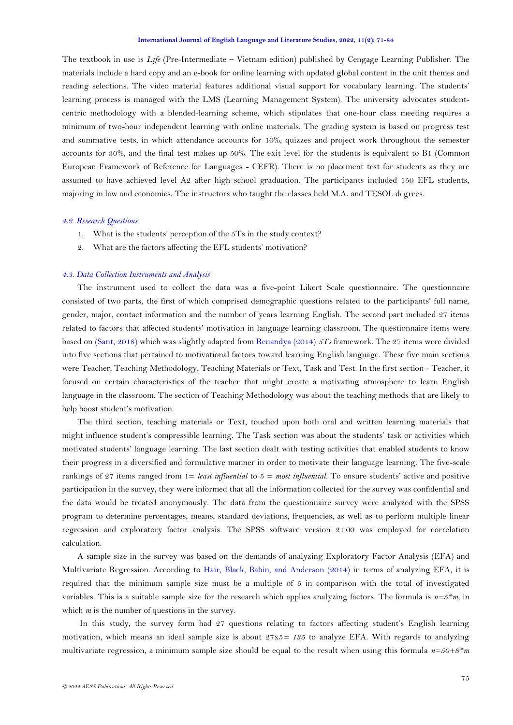The textbook in use is *Life* (Pre-Intermediate – Vietnam edition) published by Cengage Learning Publisher. The materials include a hard copy and an e-book for online learning with updated global content in the unit themes and reading selections. The video material features additional visual support for vocabulary learning. The students' learning process is managed with the LMS (Learning Management System). The university advocates studentcentric methodology with a blended-learning scheme, which stipulates that one-hour class meeting requires a minimum of two-hour independent learning with online materials. The grading system is based on progress test and summative tests, in which attendance accounts for 10%, quizzes and project work throughout the semester accounts for 30%, and the final test makes up 50%. The exit level for the students is equivalent to B1 (Common European Framework of Reference for Languages - CEFR). There is no placement test for students as they are assumed to have achieved level A2 after high school graduation. The participants included 150 EFL students, majoring in law and economics. The instructors who taught the classes held M.A. and TESOL degrees.

## *4.2. Research Questions*

- 1. What is the students' perception of the 5Ts in the study context?
- 2. What are the factors affecting the EFL students' motivation?

#### *4.3. Data Collection Instruments and Analysis*

The instrument used to collect the data was a five-point Likert Scale questionnaire. The questionnaire consisted of two parts, the first of which comprised demographic questions related to the participants' full name, gender, major, contact information and the number of years learning English. The second part included 27 items related to factors that affected students' motivation in language learning classroom. The questionnaire items were based on [\(Sant, 2018\)](#page-11-17) which was slightly adapted from [Renandya \(2014\)](#page-11-12) *5Ts* framework. The 27 items were divided into five sections that pertained to motivational factors toward learning English language. These five main sections were Teacher, Teaching Methodology, Teaching Materials or Text, Task and Test. In the first section - Teacher, it focused on certain characteristics of the teacher that might create a motivating atmosphere to learn English language in the classroom. The section of Teaching Methodology was about the teaching methods that are likely to help boost student's motivation.

The third section, teaching materials or Text, touched upon both oral and written learning materials that might influence student's compressible learning. The Task section was about the students' task or activities which motivated students' language learning. The last section dealt with testing activities that enabled students to know their progress in a diversified and formulative manner in order to motivate their language learning. The five-scale rankings of 27 items ranged from 1= *least influential* to 5 = *most influential*. To ensure students' active and positive participation in the survey, they were informed that all the information collected for the survey was confidential and the data would be treated anonymously. The data from the questionnaire survey were analyzed with the SPSS program to determine percentages, means, standard deviations, frequencies, as well as to perform multiple linear regression and exploratory factor analysis. The SPSS software version 21.00 was employed for correlation calculation.

A sample size in the survey was based on the demands of analyzing Exploratory Factor Analysis (EFA) and Multivariate Regression. According to [Hair, Black, Babin, and Anderson \(2014\)](#page-11-18) in terms of analyzing EFA, it is required that the minimum sample size must be a multiple of 5 in comparison with the total of investigated variables. This is a suitable sample size for the research which applies analyzing factors. The formula is *n=5\*m*, in which *m* is the number of questions in the survey.

In this study, the survey form had 27 questions relating to factors affecting student's English learning motivation, which means an ideal sample size is about 27x5*= 135* to analyze EFA. With regards to analyzing multivariate regression, a minimum sample size should be equal to the result when using this formula *n=50+8\*m*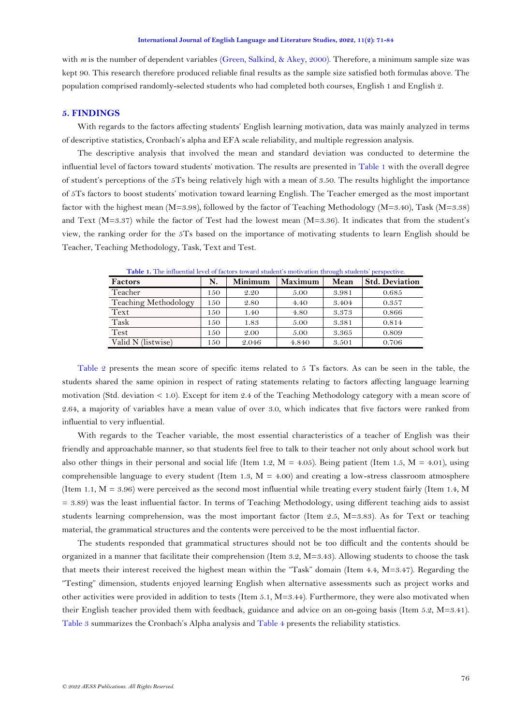with *m* is the number of dependent variables [\(Green, Salkind, & Akey, 2000\)](#page-11-19). Therefore, a minimum sample size was kept 90. This research therefore produced reliable final results as the sample size satisfied both formulas above. The population comprised randomly-selected students who had completed both courses, English 1 and English 2.

### **5. FINDINGS**

With regards to the factors affecting students' English learning motivation, data was mainly analyzed in terms of descriptive statistics, Cronbach's alpha and EFA scale reliability, and multiple regression analysis.

The descriptive analysis that involved the mean and standard deviation was conducted to determine the influential level of factors toward students' motivation. The results are presented in [Table 1](#page-5-0) with the overall degree of student's perceptions of the 5Ts being relatively high with a mean of 3.50. The results highlight the importance of 5Ts factors to boost students' motivation toward learning English. The Teacher emerged as the most important factor with the highest mean (M=3.98), followed by the factor of Teaching Methodology (M=3.40), Task (M=3.38) and Text (M=3.37) while the factor of Test had the lowest mean (M=3.36). It indicates that from the student's view, the ranking order for the 5Ts based on the importance of motivating students to learn English should be Teacher, Teaching Methodology, Task, Text and Test.

<span id="page-5-0"></span>

| Factors              | N.  | <b>Minimum</b> | <b>Maximum</b> | Mean  | <b>Std. Deviation</b> |
|----------------------|-----|----------------|----------------|-------|-----------------------|
| Teacher              | 150 | 2.20           | 5.00           | 3.981 | 0.685                 |
| Teaching Methodology | 150 | 2.80           | 4.40           | 3.404 | 0.357                 |
| Text                 | 150 | 1.40           | 4.80           | 3.373 | 0.866                 |
| Task                 | 150 | 1.83           | 5.00           | 3.381 | 0.814                 |
| Test                 | 150 | 2.00           | 5.00           | 3.365 | 0.809                 |
| Valid N (listwise)   | 150 | 2.046          | 4.840          | 3.501 | 0.706                 |

**Table 1.** The influential level of factors toward student's motivation through students' perspective.

[Table 2](#page-6-0) presents the mean score of specific items related to 5 Ts factors. As can be seen in the table, the students shared the same opinion in respect of rating statements relating to factors affecting language learning motivation (Std. deviation < 1.0). Except for item 2.4 of the Teaching Methodology category with a mean score of 2.64, a majority of variables have a mean value of over 3.0, which indicates that five factors were ranked from influential to very influential.

With regards to the Teacher variable, the most essential characteristics of a teacher of English was their friendly and approachable manner, so that students feel free to talk to their teacher not only about school work but also other things in their personal and social life (Item 1.2,  $M = 4.05$ ). Being patient (Item 1.5,  $M = 4.01$ ), using comprehensible language to every student (Item 1.3,  $M = 4.00$ ) and creating a low-stress classroom atmosphere (Item 1.1,  $M = 3.96$ ) were perceived as the second most influential while treating every student fairly (Item 1.4, M)  $= 3.89$ ) was the least influential factor. In terms of Teaching Methodology, using different teaching aids to assist students learning comprehension, was the most important factor (Item 2.5, M=3.83). As for Text or teaching material, the grammatical structures and the contents were perceived to be the most influential factor.

The students responded that grammatical structures should not be too difficult and the contents should be organized in a manner that facilitate their comprehension (Item 3.2, M=3.43). Allowing students to choose the task that meets their interest received the highest mean within the "Task" domain (Item 4.4, M=3.47). Regarding the "Testing" dimension, students enjoyed learning English when alternative assessments such as project works and other activities were provided in addition to tests (Item 5.1, M=3.44). Furthermore, they were also motivated when their English teacher provided them with feedback, guidance and advice on an on-going basis (Item 5.2, M=3.41). [Table 3](#page-7-0) summarizes the Cronbach's Alpha analysis and [Table 4](#page-7-1) presents the reliability statistics.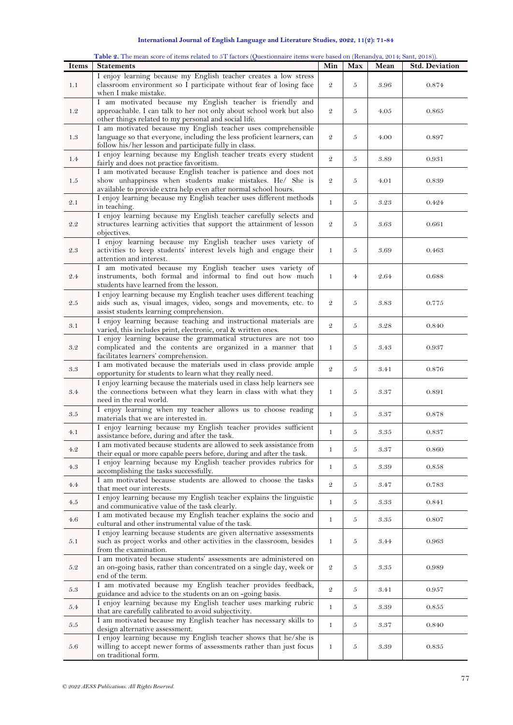<span id="page-6-0"></span>

|              | Table 2. The mean score of items related to 5T factors (Questionnaire items were based on (Renandya, 2014; Sant, 2018)). |                |                |      |                       |
|--------------|--------------------------------------------------------------------------------------------------------------------------|----------------|----------------|------|-----------------------|
| <b>Items</b> | <b>Statements</b>                                                                                                        | Min            | Max            | Mean | <b>Std. Deviation</b> |
|              | I enjoy learning because my English teacher creates a low stress                                                         |                |                |      |                       |
|              |                                                                                                                          |                |                |      |                       |
| 1.1          | classroom environment so I participate without fear of losing face                                                       | $\mathfrak{D}$ | 5              | 3.96 | 0.874                 |
|              | when I make mistake.                                                                                                     |                |                |      |                       |
|              | I am motivated because my English teacher is friendly and                                                                |                |                |      |                       |
| 1.2          | approachable. I can talk to her not only about school work but also                                                      | $\mathfrak{D}$ | 5              | 4.05 | 0.865                 |
|              | other things related to my personal and social life.                                                                     |                |                |      |                       |
|              | I am motivated because my English teacher uses comprehensible                                                            |                |                |      |                       |
| 1.3          | language so that everyone, including the less proficient learners, can                                                   | $\mathfrak{D}$ | 5              | 4.00 | 0.897                 |
|              |                                                                                                                          |                |                |      |                       |
|              | follow his/her lesson and participate fully in class.                                                                    |                |                |      |                       |
| 1.4          | I enjoy learning because my English teacher treats every student                                                         | $\mathfrak{D}$ | 5              | 3.89 | 0.931                 |
|              | fairly and does not practice favoritism.                                                                                 |                |                |      |                       |
|              | I am motivated because English teacher is patience and does not                                                          |                |                |      |                       |
| 1.5          | show unhappiness when students make mistakes. He/ She is                                                                 | $\mathfrak{D}$ | 5              | 4.01 | 0.839                 |
|              | available to provide extra help even after normal school hours.                                                          |                |                |      |                       |
|              |                                                                                                                          |                |                |      |                       |
| 2.1          | I enjoy learning because my English teacher uses different methods                                                       | $\mathbf{1}$   | 5              | 3.23 | 0.424                 |
|              | in teaching.                                                                                                             |                |                |      |                       |
|              | I enjoy learning because my English teacher carefully selects and                                                        |                |                |      |                       |
| 2.2          | structures learning activities that support the attainment of lesson                                                     | $\mathfrak{D}$ | 5              | 3.63 | 0.661                 |
|              | objectives.                                                                                                              |                |                |      |                       |
|              | I enjoy learning because my English teacher uses variety of                                                              |                |                |      |                       |
| 2.3          | activities to keep students' interest levels high and engage their                                                       | $\mathbf{1}$   | 5              | 3.69 | 0.463                 |
|              |                                                                                                                          |                |                |      |                       |
|              | attention and interest.                                                                                                  |                |                |      |                       |
|              | I am motivated because my English teacher uses variety of                                                                |                |                |      |                       |
| 2.4          | instruments, both formal and informal to find out how much                                                               | $\mathbf{1}$   | $\overline{4}$ | 2.64 | 0.688                 |
|              | students have learned from the lesson.                                                                                   |                |                |      |                       |
|              | I enjoy learning because my English teacher uses different teaching                                                      |                |                |      |                       |
| 2.5          | aids such as, visual images, video, songs and movements, etc. to                                                         | $\mathfrak{D}$ | 5              | 3.83 | 0.775                 |
|              |                                                                                                                          |                |                |      |                       |
|              | assist students learning comprehension.                                                                                  |                |                |      |                       |
| 3.1          | I enjoy learning because teaching and instructional materials are                                                        | $\mathfrak{D}$ | 5              | 3.28 | 0.840                 |
|              | varied, this includes print, electronic, oral & written ones.                                                            |                |                |      |                       |
|              | I enjoy learning because the grammatical structures are not too                                                          |                |                |      |                       |
| 3.2          | complicated and the contents are organized in a manner that                                                              | $\mathbf{1}$   | 5              | 3.43 | 0.937                 |
|              | facilitates learners' comprehension.                                                                                     |                |                |      |                       |
|              |                                                                                                                          |                |                |      |                       |
| 3.3          | I am motivated because the materials used in class provide ample                                                         | $\mathfrak{D}$ | 5              | 3.41 | 0.876                 |
|              | opportunity for students to learn what they really need.                                                                 |                |                |      |                       |
|              | I enjoy learning because the materials used in class help learners see                                                   |                |                |      |                       |
| 3.4          | the connections between what they learn in class with what they                                                          | $\mathbf{1}$   | 5              | 3.37 | 0.891                 |
|              | need in the real world.                                                                                                  |                |                |      |                       |
|              | I enjoy learning when my teacher allows us to choose reading                                                             |                |                |      |                       |
| 3.5          | materials that we are interested in.                                                                                     | $\mathbf{1}$   | 5              | 3.37 | 0.878                 |
|              |                                                                                                                          |                |                |      |                       |
| 4.1          | I enjoy learning because my English teacher provides sufficient                                                          | $\mathbf{1}$   | 5              | 3.35 | 0.837                 |
|              | assistance before, during and after the task.                                                                            |                |                |      |                       |
|              | I am motivated because students are allowed to seek assistance from                                                      |                |                |      |                       |
| 4.2          | their equal or more capable peers before, during and after the task.                                                     | $\mathbf{1}$   | 5              | 3.37 | 0.860                 |
|              | I enjoy learning because my English teacher provides rubrics for                                                         |                |                |      |                       |
| 4.3          | accomplishing the tasks successfully.                                                                                    | $\mathbf{1}$   | 5              | 3.39 | 0.858                 |
|              |                                                                                                                          |                |                |      |                       |
| 4.4          | I am motivated because students are allowed to choose the tasks                                                          | $\mathfrak{D}$ | 5              | 3.47 | 0.783                 |
|              | that meet our interests.                                                                                                 |                |                |      |                       |
|              | I enjoy learning because my English teacher explains the linguistic                                                      | $\mathbf{1}$   | 5              |      | 0.841                 |
| 4.5          | and communicative value of the task clearly.                                                                             |                |                | 3.33 |                       |
|              | I am motivated because my English teacher explains the socio and                                                         |                |                |      |                       |
| 4.6          | cultural and other instrumental value of the task.                                                                       | $\mathbf{1}$   | 5              | 3.35 | 0.807                 |
|              |                                                                                                                          |                |                |      |                       |
|              | I enjoy learning because students are given alternative assessments                                                      |                |                |      |                       |
| 5.1          | such as project works and other activities in the classroom, besides                                                     | $\mathbf{1}$   | 5              | 3.44 | 0.963                 |
|              | from the examination.                                                                                                    |                |                |      |                       |
|              | I am motivated because students' assessments are administered on                                                         |                |                |      |                       |
| 5.2          | an on-going basis, rather than concentrated on a single day, week or                                                     | $\mathfrak{D}$ | 5              | 3.35 | 0.989                 |
|              | end of the term.                                                                                                         |                |                |      |                       |
|              | I am motivated because my English teacher provides feedback,                                                             |                |                |      |                       |
| 5.3          |                                                                                                                          | $\mathfrak{D}$ | 5              | 3.41 | 0.957                 |
|              | guidance and advice to the students on an on-going basis.                                                                |                |                |      |                       |
| 5.4          | I enjoy learning because my English teacher uses marking rubric                                                          | $\mathbf{1}$   | 5              | 3.39 | 0.855                 |
|              | that are carefully calibrated to avoid subjectivity.                                                                     |                |                |      |                       |
|              | I am motivated because my English teacher has necessary skills to                                                        |                |                |      |                       |
| 5.5          | design alternative assessment.                                                                                           | $\mathbf{1}$   | 5              | 3.37 | 0.840                 |
|              | I enjoy learning because my English teacher shows that he/she is                                                         |                |                |      |                       |
| 5.6          | willing to accept newer forms of assessments rather than just focus                                                      | $\mathbf{1}$   | 5              | 3.39 | 0.835                 |
|              | on traditional form.                                                                                                     |                |                |      |                       |
|              |                                                                                                                          |                |                |      |                       |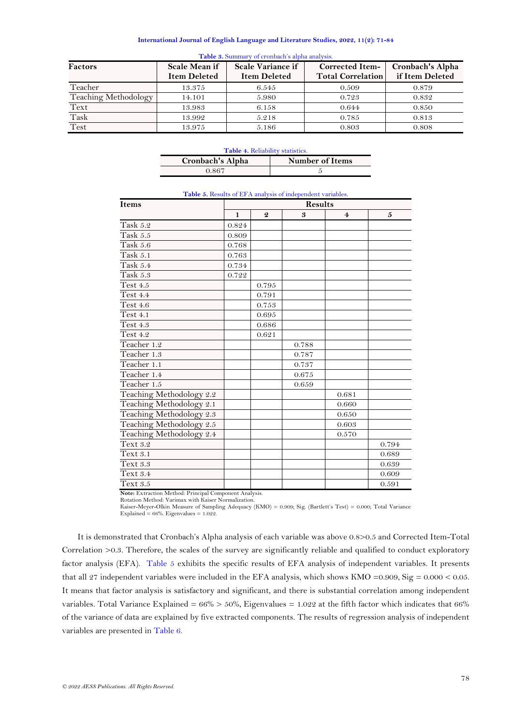<span id="page-7-0"></span>

| Factors              | Scale Mean if<br><b>Item Deleted</b> | Scale Variance if<br><b>Item Deleted</b> | <b>Corrected Item-</b><br><b>Total Correlation</b> | Cronbach's Alpha<br>if Item Deleted |
|----------------------|--------------------------------------|------------------------------------------|----------------------------------------------------|-------------------------------------|
| Teacher              | 13.375                               | 6.545                                    | 0.509                                              | 0.879                               |
| Teaching Methodology | 14.101                               | 5.980                                    | 0.723                                              | 0.832                               |
| Text                 | 13.983                               | 6.158                                    | 0.644                                              | 0.850                               |
| Task                 | 13.992                               | 5.218                                    | 0.785                                              | 0.813                               |
| Test                 | 13.975                               | 5.186                                    | 0.803                                              | 0.808                               |

### **Table 3.** Summary of cronbach's alpha analysis.

| <b>Table 4. Reliability statistics.</b> |  |  |  |  |  |
|-----------------------------------------|--|--|--|--|--|
| Cronbach's Alpha<br>Number of Items     |  |  |  |  |  |
| 0.867                                   |  |  |  |  |  |

<span id="page-7-2"></span><span id="page-7-1"></span>

| <b>Items</b>                    | <b>Results</b> |                  |       |                         |              |
|---------------------------------|----------------|------------------|-------|-------------------------|--------------|
|                                 | $\mathbf{1}$   | $\boldsymbol{Q}$ | 3     | $\overline{\mathbf{4}}$ | $\mathbf{5}$ |
| Task 5.2                        | 0.824          |                  |       |                         |              |
| $\overline{\text{Task}}$ 5.5    | 0.809          |                  |       |                         |              |
| Task 5.6                        | 0.768          |                  |       |                         |              |
| Task 5.1                        | 0.763          |                  |       |                         |              |
| Task 5.4                        | 0.734          |                  |       |                         |              |
| Task 5.3                        | 0.722          |                  |       |                         |              |
| Test 4.5                        |                | 0.795            |       |                         |              |
| <b>Test 4.4</b>                 |                | 0.791            |       |                         |              |
| Test 4.6                        |                | 0.753            |       |                         |              |
| Test 4.1                        |                | 0.695            |       |                         |              |
| Test 4.3                        |                | 0.686            |       |                         |              |
| Test 4.2                        |                | 0.621            |       |                         |              |
| Teacher 1.2                     |                |                  | 0.788 |                         |              |
| Teacher 1.3                     |                |                  | 0.787 |                         |              |
| Teacher 1.1                     |                |                  | 0.737 |                         |              |
| Teacher 1.4                     |                |                  | 0.675 |                         |              |
| $\overline{\text{Teacher}}$ 1.5 |                |                  | 0.659 |                         |              |
| Teaching Methodology 2.2        |                |                  |       | 0.681                   |              |
| Teaching Methodology 2.1        |                |                  |       | 0.660                   |              |
| Teaching Methodology 2.3        |                |                  |       | 0.650                   |              |
| Teaching Methodology 2.5        |                |                  |       | 0.603                   |              |
| Teaching Methodology 2.4        |                |                  |       | 0.570                   |              |
| Text 3.2                        |                |                  |       |                         | 0.794        |
| Text 3.1                        |                |                  |       |                         | 0.689        |
| Text 3.3                        |                |                  |       |                         | 0.639        |
| Text 3.4                        |                |                  |       |                         | 0.609        |
| Text 3.5                        |                |                  |       |                         | 0.591        |

### **Table 5.** Results of EFA analysis of independent variables.

**Note:** Extraction Method: Principal Component Analysis.

Rotation Method: Varimax with Kaiser Normalization.

Kaiser-Meyer-Olkin Measure of Sampling Adequacy (KMO) = 0.909; Sig. (Bartlett's Test) = 0.000; Total Variance Explained = 66%. Eigenvalues = 1.022.

<span id="page-7-3"></span>It is demonstrated that Cronbach's Alpha analysis of each variable was above 0.8>0.5 and Corrected Item-Total Correlation >0.3. Therefore, the scales of the survey are significantly reliable and qualified to conduct exploratory factor analysis (EFA). [Table 5](#page-7-2) exhibits the specific results of EFA analysis of independent variables. It presents that all 27 independent variables were included in the EFA analysis, which shows KMO =0.909, Sig = 0.000 < 0.05. It means that factor analysis is satisfactory and significant, and there is substantial correlation among independent variables. Total Variance Explained =  $66\%$  >  $50\%$ , Eigenvalues = 1.022 at the fifth factor which indicates that  $66\%$ of the variance of data are explained by five extracted components. The results of regression analysis of independent variables are presented in [Table 6.](#page-7-3)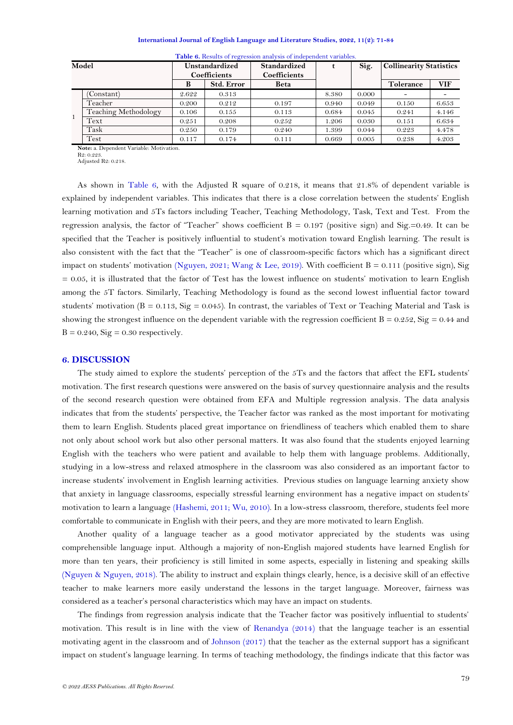| Model        |                      | Unstandardized<br><b>Coefficients</b> |                   | Standardized<br><b>Coefficients</b> |       | Sig.  | <b>Collinearity Statistics</b> |            |  |
|--------------|----------------------|---------------------------------------|-------------------|-------------------------------------|-------|-------|--------------------------------|------------|--|
|              |                      |                                       | <b>Std. Error</b> | Beta                                |       |       | Tolerance                      | <b>VIF</b> |  |
| $\mathbf{1}$ | 'Constant)           | 2.622                                 | 0.313             |                                     | 8.380 | 0.000 | $\overline{\phantom{a}}$       |            |  |
|              | Teacher              | 0.200                                 | 0.212             | 0.197                               | 0.940 | 0.049 | 0.150                          | 6.653      |  |
|              | Teaching Methodology | 0.106                                 | 0.155             | 0.113                               | 0.684 | 0.045 | 0.241                          | 4.146      |  |
|              | Text                 | 0.251                                 | 0.208             | 0.252                               | 1.206 | 0.030 | 0.151                          | 6.634      |  |
|              | Task                 | 0.250                                 | 0.179             | 0.240                               | 1.399 | 0.044 | 0.223                          | 4.478      |  |
|              | Test                 | 0.117                                 | 0.174             | 0.111                               | 0.669 | 0.005 | 0.238                          | 4.203      |  |

**Table 6.** Results of regression analysis of independent variables.

**Note:** a. Dependent Variable: Motivation.

R2: 0.223.

Adjusted R2: 0.218.

As shown in Table 6, with the Adjusted R square of 0.218, it means that 21.8% of dependent variable is explained by independent variables. This indicates that there is a close correlation between the students' English learning motivation and 5Ts factors including Teacher, Teaching Methodology, Task, Text and Test. From the regression analysis, the factor of "Teacher" shows coefficient  $B = 0.197$  (positive sign) and Sig.=0.49. It can be specified that the Teacher is positively influential to student's motivation toward English learning. The result is also consistent with the fact that the "Teacher" is one of classroom-specific factors which has a significant direct impact on students' motivation [\(Nguyen, 2021;](#page-11-11) [Wang & Lee, 2019\)](#page-12-2). With coefficient  $B = 0.111$  (positive sign), Sig  $= 0.05$ , it is illustrated that the factor of Test has the lowest influence on students' motivation to learn English among the 5T factors. Similarly, Teaching Methodology is found as the second lowest influential factor toward students' motivation (B = 0.113, Sig = 0.045). In contrast, the variables of Text or Teaching Material and Task is showing the strongest influence on the dependent variable with the regression coefficient  $B = 0.252$ ,  $Sig = 0.44$  and  $B = 0.240$ ,  $Sig = 0.30$  respectively.

#### **6. DISCUSSION**

The study aimed to explore the students' perception of the 5Ts and the factors that affect the EFL students' motivation. The first research questions were answered on the basis of survey questionnaire analysis and the results of the second research question were obtained from EFA and Multiple regression analysis. The data analysis indicates that from the students' perspective, the Teacher factor was ranked as the most important for motivating them to learn English. Students placed great importance on friendliness of teachers which enabled them to share not only about school work but also other personal matters. It was also found that the students enjoyed learning English with the teachers who were patient and available to help them with language problems. Additionally, studying in a low-stress and relaxed atmosphere in the classroom was also considered as an important factor to increase students' involvement in English learning activities. Previous studies on language learning anxiety show that anxiety in language classrooms, especially stressful learning environment has a negative impact on students' motivation to learn a language [\(Hashemi, 2011;](#page-11-20) [Wu, 2010\)](#page-12-3). In a low-stress classroom, therefore, students feel more comfortable to communicate in English with their peers, and they are more motivated to learn English.

Another quality of a language teacher as a good motivator appreciated by the students was using comprehensible language input. Although a majority of non-English majored students have learned English for more than ten years, their proficiency is still limited in some aspects, especially in listening and speaking skills (Nguyen [& Nguyen, 2018\)](#page-11-21). The ability to instruct and explain things clearly, hence, is a decisive skill of an effective teacher to make learners more easily understand the lessons in the target language. Moreover, fairness was considered as a teacher's personal characteristics which may have an impact on students.

The findings from regression analysis indicate that the Teacher factor was positively influential to students' motivation. This result is in line with the view of [Renandya \(2014\)](#page-11-12) that the language teacher is an essential motivating agent in the classroom and of [Johnson \(2017\)](#page-11-22) that the teacher as the external support has a significant impact on student's language learning. In terms of teaching methodology, the findings indicate that this factor was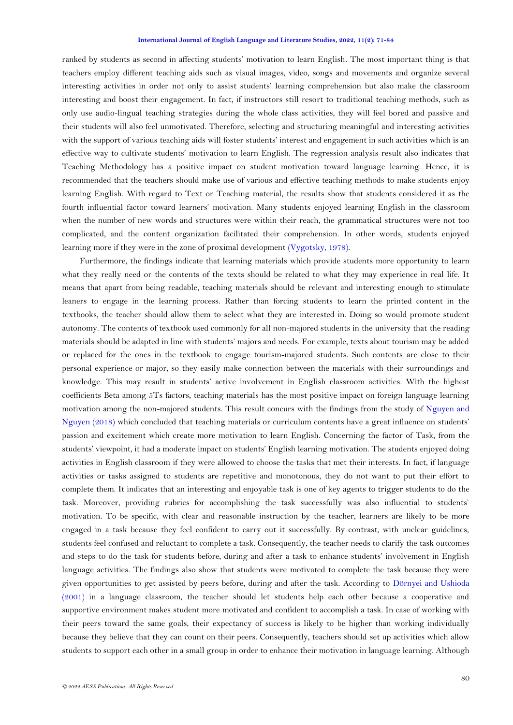ranked by students as second in affecting students' motivation to learn English. The most important thing is that teachers employ different teaching aids such as visual images, video, songs and movements and organize several interesting activities in order not only to assist students' learning comprehension but also make the classroom interesting and boost their engagement. In fact, if instructors still resort to traditional teaching methods, such as only use audio-lingual teaching strategies during the whole class activities, they will feel bored and passive and their students will also feel unmotivated. Therefore, selecting and structuring meaningful and interesting activities with the support of various teaching aids will foster students' interest and engagement in such activities which is an effective way to cultivate students' motivation to learn English. The regression analysis result also indicates that Teaching Methodology has a positive impact on student motivation toward language learning. Hence, it is recommended that the teachers should make use of various and effective teaching methods to make students enjoy learning English. With regard to Text or Teaching material, the results show that students considered it as the fourth influential factor toward learners' motivation. Many students enjoyed learning English in the classroom when the number of new words and structures were within their reach, the grammatical structures were not too complicated, and the content organization facilitated their comprehension. In other words, students enjoyed learning more if they were in the zone of proximal development [\(Vygotsky, 1978\)](#page-11-23).

Furthermore, the findings indicate that learning materials which provide students more opportunity to learn what they really need or the contents of the texts should be related to what they may experience in real life. It means that apart from being readable, teaching materials should be relevant and interesting enough to stimulate leaners to engage in the learning process. Rather than forcing students to learn the printed content in the textbooks, the teacher should allow them to select what they are interested in. Doing so would promote student autonomy. The contents of textbook used commonly for all non-majored students in the university that the reading materials should be adapted in line with students' majors and needs. For example, texts about tourism may be added or replaced for the ones in the textbook to engage tourism-majored students. Such contents are close to their personal experience or major, so they easily make connection between the materials with their surroundings and knowledge. This may result in students' active involvement in English classroom activities. With the highest coefficients Beta among 5Ts factors, teaching materials has the most positive impact on foreign language learning motivation among the non-majored students. This result concurs with the findings from the study of [Nguyen](#page-11-21) and [Nguyen \(2018\)](#page-11-21) which concluded that teaching materials or curriculum contents have a great influence on students' passion and excitement which create more motivation to learn English. Concerning the factor of Task, from the students' viewpoint, it had a moderate impact on students' English learning motivation. The students enjoyed doing activities in English classroom if they were allowed to choose the tasks that met their interests. In fact, if language activities or tasks assigned to students are repetitive and monotonous, they do not want to put their effort to complete them. It indicates that an interesting and enjoyable task is one of key agents to trigger students to do the task. Moreover, providing rubrics for accomplishing the task successfully was also influential to students' motivation. To be specific, with clear and reasonable instruction by the teacher, learners are likely to be more engaged in a task because they feel confident to carry out it successfully. By contrast, with unclear guidelines, students feel confused and reluctant to complete a task. Consequently, the teacher needs to clarify the task outcomes and steps to do the task for students before, during and after a task to enhance students' involvement in English language activities. The findings also show that students were motivated to complete the task because they were given opportunities to get assisted by peers before, during and after the task. According to [Dörnyei and Ushioda](#page-11-8)  [\(2001\)](#page-11-8) in a language classroom, the teacher should let students help each other because a cooperative and supportive environment makes student more motivated and confident to accomplish a task. In case of working with their peers toward the same goals, their expectancy of success is likely to be higher than working individually because they believe that they can count on their peers. Consequently, teachers should set up activities which allow students to support each other in a small group in order to enhance their motivation in language learning. Although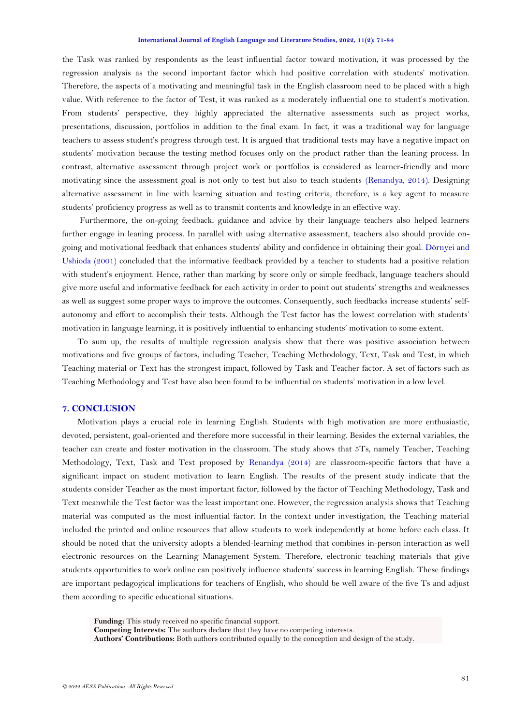the Task was ranked by respondents as the least influential factor toward motivation, it was processed by the regression analysis as the second important factor which had positive correlation with students' motivation. Therefore, the aspects of a motivating and meaningful task in the English classroom need to be placed with a high value. With reference to the factor of Test, it was ranked as a moderately influential one to student's motivation. From students' perspective, they highly appreciated the alternative assessments such as project works, presentations, discussion, portfolios in addition to the final exam. In fact, it was a traditional way for language teachers to assess student's progress through test. It is argued that traditional tests may have a negative impact on students' motivation because the testing method focuses only on the product rather than the leaning process. In contrast, alternative assessment through project work or portfolios is considered as learner-friendly and more motivating since the assessment goal is not only to test but also to teach students [\(Renandya, 2014\)](#page-11-12). Designing alternative assessment in line with learning situation and testing criteria, therefore, is a key agent to measure students' proficiency progress as well as to transmit contents and knowledge in an effective way.

Furthermore, the on-going feedback, guidance and advice by their language teachers also helped learners further engage in leaning process. In parallel with using alternative assessment, teachers also should provide ongoing and motivational feedback that enhances students' ability and confidence in obtaining their goal. [Dörnyei and](#page-11-8)  [Ushioda \(2001\)](#page-11-8) concluded that the informative feedback provided by a teacher to students had a positive relation with student's enjoyment. Hence, rather than marking by score only or simple feedback, language teachers should give more useful and informative feedback for each activity in order to point out students' strengths and weaknesses as well as suggest some proper ways to improve the outcomes. Consequently, such feedbacks increase students' selfautonomy and effort to accomplish their tests. Although the Test factor has the lowest correlation with students' motivation in language learning, it is positively influential to enhancing students' motivation to some extent.

To sum up, the results of multiple regression analysis show that there was positive association between motivations and five groups of factors, including Teacher, Teaching Methodology, Text, Task and Test, in which Teaching material or Text has the strongest impact, followed by Task and Teacher factor. A set of factors such as Teaching Methodology and Test have also been found to be influential on students' motivation in a low level.

## **7. CONCLUSION**

Motivation plays a crucial role in learning English. Students with high motivation are more enthusiastic, devoted, persistent, goal-oriented and therefore more successful in their learning. Besides the external variables, the teacher can create and foster motivation in the classroom. The study shows that 5Ts, namely Teacher, Teaching Methodology, Text, Task and Test proposed by [Renandya \(2014\)](#page-11-12) are classroom-specific factors that have a significant impact on student motivation to learn English. The results of the present study indicate that the students consider Teacher as the most important factor, followed by the factor of Teaching Methodology, Task and Text meanwhile the Test factor was the least important one. However, the regression analysis shows that Teaching material was computed as the most influential factor. In the context under investigation, the Teaching material included the printed and online resources that allow students to work independently at home before each class. It should be noted that the university adopts a blended-learning method that combines in-person interaction as well electronic resources on the Learning Management System. Therefore, electronic teaching materials that give students opportunities to work online can positively influence students' success in learning English. These findings are important pedagogical implications for teachers of English, who should be well aware of the five Ts and adjust them according to specific educational situations.

**Authors' Contributions:** Both authors contributed equally to the conception and design of the study.

**Funding:** This study received no specific financial support.

**Competing Interests:** The authors declare that they have no competing interests.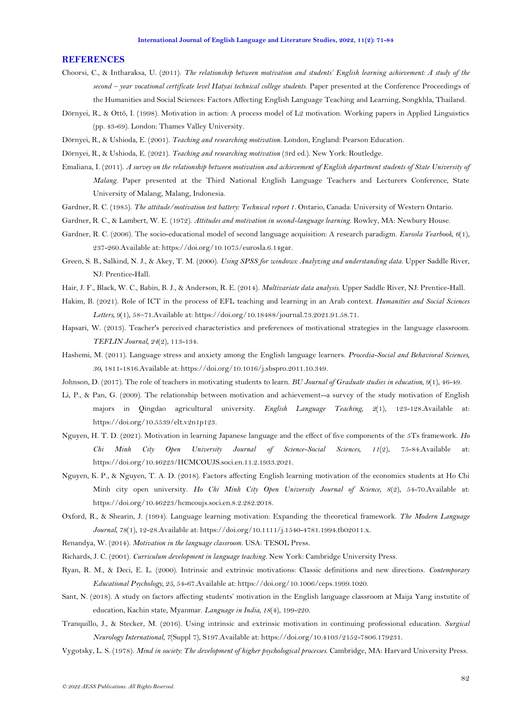#### **REFERENCES**

- <span id="page-11-14"></span>Choorsi, C., & Intharaksa, U. (2011). *The relationship between motivation and students' English learning achievement: A study of the second – year vocational certificate level Hatyai technical college students.* Paper presented at the Conference Proceedings of the Humanities and Social Sciences: Factors Affecting English Language Teaching and Learning, Songkhla, Thailand.
- <span id="page-11-1"></span>Dörnyei, R., & Ottó, I. (1998). Motivation in action: A process model of L2 motivation. Working papers in Applied Linguistics (pp. 43-69). London: Thames Valley University.
- <span id="page-11-8"></span>Dörnyei, R., & Ushioda, E. (2001). *Teaching and researching motivation*. London, England: Pearson Education.
- <span id="page-11-0"></span>Dörnyei, R., & Ushioda, E. (2021). *Teaching and researching motivation* (3rd ed.). New York: Routledge.
- <span id="page-11-15"></span>Emaliana, I. (2011). *A survey on the relationship between motivation and achievement of English department students of State University of Malang*. Paper presented at the Third National English Language Teachers and Lecturers Conference, State University of Malang, Malang, Indonesia.
- <span id="page-11-2"></span>Gardner, R. C. (1985). *The attitude/motivation test battery: Technical report 1*. Ontario, Canada: University of Western Ontario.
- <span id="page-11-9"></span>Gardner, R. C., & Lambert, W. E. (1972). *Attitudes and motivation in second-language learning*. Rowley, MA: Newbury House.
- <span id="page-11-3"></span>Gardner, R. C. (2006). The socio-educational model of second language acquisition: A research paradigm. *Eurosla Yearbook, 6*(1), 237-260.Available at: https://doi.org/10.1075/eurosla.6.14gar.
- <span id="page-11-19"></span>Green, S. B., Salkind, N. J., & Akey, T. M. (2000). *Using SPSS for windows: Analyzing and understanding data*. Upper Saddle River, NJ: Prentice-Hall.
- <span id="page-11-18"></span>Hair, J. F., Black, W. C., Babin, B. J., & Anderson, R. E. (2014). *Multivariate data analysis*. Upper Saddle River, NJ: Prentice-Hall.
- <span id="page-11-4"></span>Hakim, B. (2021). Role of ICT in the process of EFL teaching and learning in an Arab context. *Humanities and Social Sciences Letters, 9*(1), 58–71.Available at: https://doi.org/10.18488/journal.73.2021.91.58.71.
- <span id="page-11-10"></span>Hapsari, W. (2013). Teacher's perceived characteristics and preferences of motivational strategies in the language classroom. *TEFLIN Journal, 24*(2), 113-134.
- <span id="page-11-20"></span>Hashemi, M. (2011). Language stress and anxiety among the English language learners. *Procedia-Social and Behavioral Sciences, 30*, 1811-1816.Available at: https://doi.org/10.1016/j.sbspro.2011.10.349.
- <span id="page-11-22"></span>Johnson, D. (2017). The role of teachers in motivating students to learn. *BU Journal of Graduate studies in education, 9*(1), 46-49.
- <span id="page-11-16"></span>Li, P., & Pan, G. (2009). The relationship between motivation and achievement--a survey of the study motivation of English majors in Qingdao agricultural university. *English Language Teaching, 2*(1), 123-128.Available at: https://doi.org/10.5539/elt.v2n1p123.
- <span id="page-11-11"></span>Nguyen, H. T. D. (2021). Motivation in learning Japanese language and the effect of five components of the 5Ts framework. *Ho Chi Minh City Open University Journal of Science-Social Sciences, 11*(2), 75-84.Available at: https://doi.org/10.46223/HCMCOUJS.soci.en.11.2.1933.2021.
- <span id="page-11-21"></span>Nguyen, K. P., & Nguyen, T. A. D. (2018). Factors affecting English learning motivation of the economics students at Ho Chi Minh city open university. *Ho Chi Minh City Open University Journal of Science, 8*(2), 54-70.Available at: https://doi.org/10.46223/hcmcoujs.soci.en.8.2.282.2018.
- <span id="page-11-5"></span>Oxford, R., & Shearin, J. (1994). Language learning motivation: Expanding the theoretical framework. *The Modern Language Journal, 78*(1), 12-28.Available at: https://doi.org/10.1111/j.1540-4781.1994.tb02011.x.
- <span id="page-11-12"></span>Renandya, W. (2014). *Motivation in the language classroom*. USA: TESOL Press.
- <span id="page-11-13"></span>Richards, J. C. (2001). *Curriculum development in language teaching*. New York: Cambridge University Press.
- <span id="page-11-6"></span>Ryan, R. M., & Deci, E. L. (2000). Intrinsic and extrinsic motivations: Classic definitions and new directions. *Contemporary Educational Psychology, 25*, 54-67.Available at: https://doi.org/10.1006/ceps.1999.1020.
- <span id="page-11-17"></span>Sant, N. (2018). A study on factors affecting students' motivation in the English language classroom at Maija Yang instutite of education, Kachin state, Myanmar. *Language in India, 18*(4), 199-220.
- <span id="page-11-7"></span>Tranquillo, J., & Stecker, M. (2016). Using intrinsic and extrinsic motivation in continuing professional education. *Surgical Neurology International, 7*(Suppl 7), S197.Available at: https://doi.org/10.4103/2152-7806.179231.
- <span id="page-11-23"></span>Vygotsky, L. S. (1978). *Mind in society: The development of higher psychological processes*. Cambridge, MA: Harvard University Press.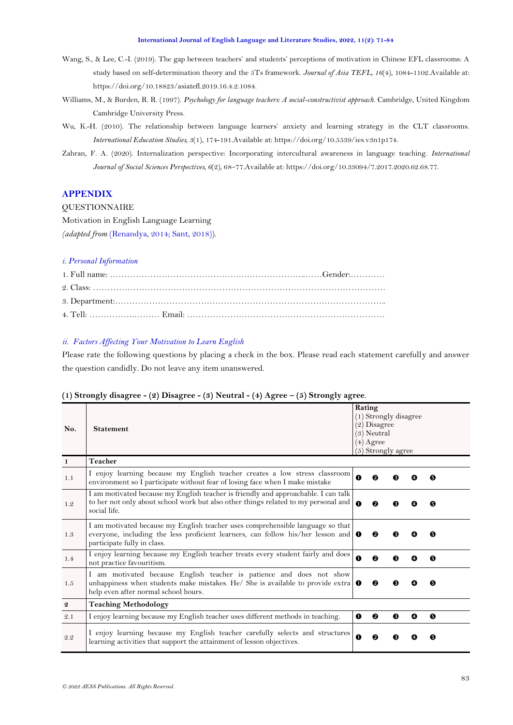- <span id="page-12-2"></span>Wang, S., & Lee, C.-I. (2019). The gap between teachers' and students' perceptions of motivation in Chinese EFL classrooms: A study based on self-determination theory and the 5Ts framework. *Journal of Asia TEFL, 16*(4), 1084-1102.Available at: https://doi.org/10.18823/asiatefl.2019.16.4.2.1084.
- <span id="page-12-0"></span>Williams, M., & Burden, R. R. (1997). *Psychology for language teachers: A social-constructivist approach*. Cambridge, United Kingdom Cambridge University Press.
- <span id="page-12-3"></span>Wu, K.-H. (2010). The relationship between language learners' anxiety and learning strategy in the CLT classrooms. *International Education Studies, 3*(1), 174-191.Available at: https://doi.org/10.5539/ies.v3n1p174.
- <span id="page-12-1"></span>Zahran, F. A. (2020). Internalization perspective: Incorporating intercultural awareness in language teaching. *International Journal of Social Sciences Perspectives, 6*(2), 68–77.Available at: https://doi.org/10.33094/7.2017.2020.62.68.77.

# **APPENDIX**

**OUESTIONNAIRE** Motivation in English Language Learning

*(adapted from* [\(Renandya, 2014;](#page-11-12) [Sant, 2018\)](#page-11-17)).

## *i. Personal Information*

## *ii. Factors Affecting Your Motivation to Learn English*

Please rate the following questions by placing a check in the box. Please read each statement carefully and answer the question candidly. Do not leave any item unanswered.

#### **No. Statement Rating**  (1) Strongly disagree (2) Disagree (3) Neutral (4) Agree (5) Strongly agree **1 Teacher** 1.1 I enjoy learning because my English teacher creates a low stress classroom environment so I participate without fear of losing face when I make mistake 1.2 I am motivated because my English teacher is friendly and approachable. I can talk to her not only about school work but also other things related to my personal and social life.  $0$   $0$   $0$   $0$   $0$ 1.3 I am motivated because my English teacher uses comprehensible language so that everyone, including the less proficient learners, can follow his/her lesson and participate fully in class.  $0$   $0$   $0$   $0$   $0$ 1.4 I enjoy learning because my English teacher treats every student fairly and does  $\bigcirc$   $\bigcirc$   $\bigcirc$   $\bigcirc$   $\bigcirc$   $\bigcirc$ 1.5 I am motivated because English teacher is patience and does not show unhappiness when students make mistakes. He/ She is available to provide extra help even after normal school hours.  $0$   $0$   $0$   $0$   $0$ **2 Teaching Methodology** 2.1 I enjoy learning because my English teacher uses different methods in teaching.  $\mathbf{0} \quad \mathbf{\Theta} \quad \mathbf{\Theta} \quad \mathbf{\Theta}$ 2.2 I enjoy learning because my English teacher carefully selects and structures learning activities that support the attainment of lesson objectives.

### **(1) Strongly disagree - (2) Disagree - (3) Neutral - (4) Agree – (5) Strongly agree**.